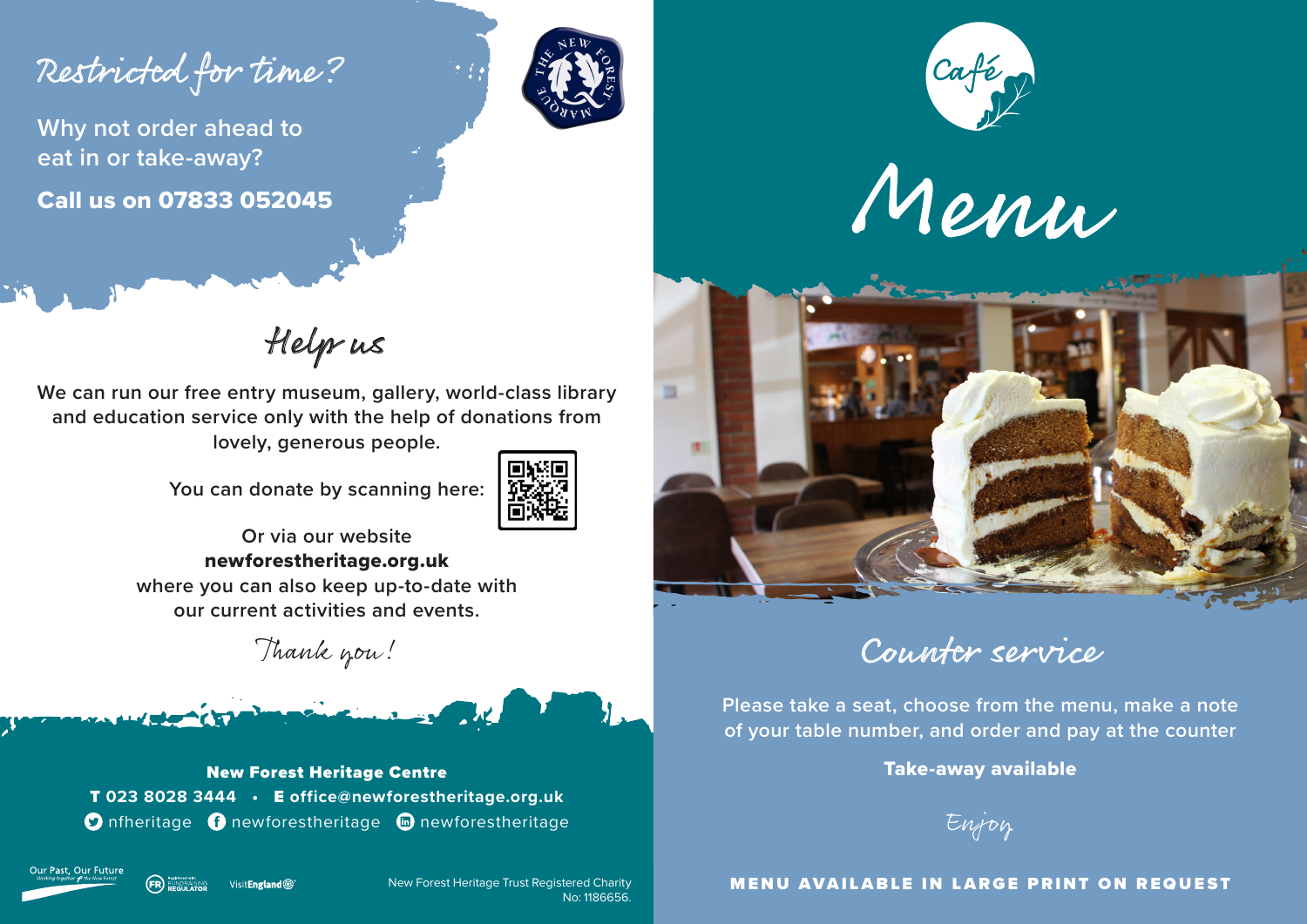Restricted for time?

**Why not order ahead to eat in or take-away?** Call us on 07833 052045









Help us

**We can run our free entry museum, gallery, world-class library and education service only with the help of donations from lovely, generous people.**

**You can donate by scanning here:**



**Or via our website** newforestheritage.org.uk **where you can also keep up-to-date with our current activities and events.**

Thank you!



T **023 8028 3444 •** E **office@newforestheritage.org.uk O** nfheritage **O** newforestheritage **n** newforestheritage



Visit**Fnøland ®** FUNDRAISING<br>PEGLILATOR

New Forest Heritage Trust Registered Charity No: 1186656.

Counter service

**Please take a seat, choose from the menu, make a note of your table number, and order and pay at the counter**

Take-away available

Enjoy

#### MENU AVAILABLE IN LARGE PRINT ON REQUEST